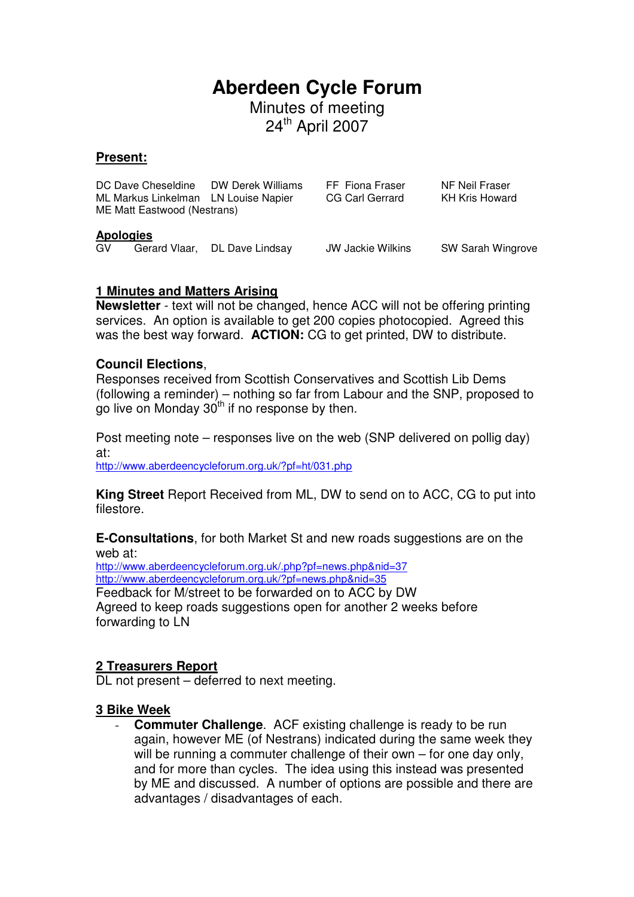# **Aberdeen Cycle Forum**

Minutes of meeting 24<sup>th</sup> April 2007

#### **Present:**

|                         | ME Matt Eastwood (Nestrans) | DC Dave Cheseldine DW Derek Williams<br>ML Markus Linkelman LN Louise Napier | FF Fiona Fraser<br>CG Carl Gerrard | NF Neil Fraser<br><b>KH Kris Howard</b> |
|-------------------------|-----------------------------|------------------------------------------------------------------------------|------------------------------------|-----------------------------------------|
| <b>Apologies</b><br>GV. |                             | Gerard Vlaar, DL Dave Lindsay                                                | <b>JW Jackie Wilkins</b>           | SW Sarah Wingrove                       |

#### **1 Minutes and Matters Arising**

**Newsletter** - text will not be changed, hence ACC will not be offering printing services. An option is available to get 200 copies photocopied. Agreed this was the best way forward. **ACTION:** CG to get printed, DW to distribute.

#### **Council Elections**,

Responses received from Scottish Conservatives and Scottish Lib Dems (following a reminder) – nothing so far from Labour and the SNP, proposed to go live on Monday  $30<sup>th</sup>$  if no response by then.

Post meeting note – responses live on the web (SNP delivered on pollig day) at:

http://www.aberdeencycleforum.org.uk/?pf=ht/031.php

**King Street** Report Received from ML, DW to send on to ACC, CG to put into filestore.

**E-Consultations**, for both Market St and new roads suggestions are on the web at:

http://www.aberdeencycleforum.org.uk/.php?pf=news.php&nid=37 http://www.aberdeencycleforum.org.uk/?pf=news.php&nid=35 Feedback for M/street to be forwarded on to ACC by DW Agreed to keep roads suggestions open for another 2 weeks before forwarding to LN

#### **2 Treasurers Report**

DL not present – deferred to next meeting.

#### **3 Bike Week**

- **Commuter Challenge**. ACF existing challenge is ready to be run again, however ME (of Nestrans) indicated during the same week they will be running a commuter challenge of their own – for one day only, and for more than cycles. The idea using this instead was presented by ME and discussed. A number of options are possible and there are advantages / disadvantages of each.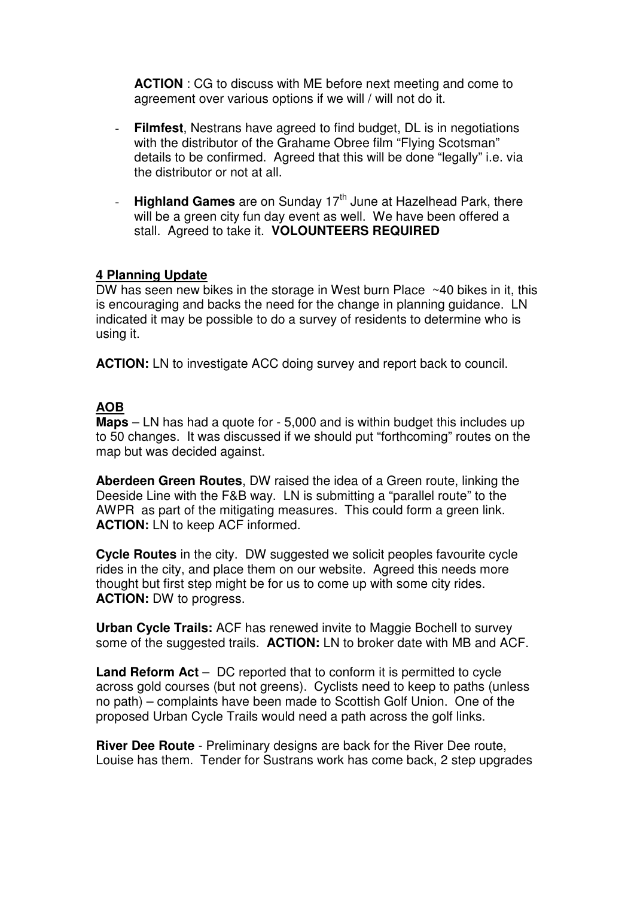**ACTION** : CG to discuss with ME before next meeting and come to agreement over various options if we will / will not do it.

- **Filmfest**, Nestrans have agreed to find budget, DL is in negotiations with the distributor of the Grahame Obree film "Flying Scotsman" details to be confirmed. Agreed that this will be done "legally" i.e. via the distributor or not at all.
- **Highland Games** are on Sunday 17<sup>th</sup> June at Hazelhead Park, there will be a green city fun day event as well. We have been offered a stall. Agreed to take it. **VOLOUNTEERS REQUIRED**

#### **4 Planning Update**

DW has seen new bikes in the storage in West burn Place ~40 bikes in it, this is encouraging and backs the need for the change in planning guidance. LN indicated it may be possible to do a survey of residents to determine who is using it.

**ACTION:** LN to investigate ACC doing survey and report back to council.

#### **AOB**

**Maps** – LN has had a quote for - 5,000 and is within budget this includes up to 50 changes. It was discussed if we should put "forthcoming" routes on the map but was decided against.

**Aberdeen Green Routes**, DW raised the idea of a Green route, linking the Deeside Line with the F&B way. LN is submitting a "parallel route" to the AWPR as part of the mitigating measures. This could form a green link. **ACTION:** LN to keep ACF informed.

**Cycle Routes** in the city. DW suggested we solicit peoples favourite cycle rides in the city, and place them on our website. Agreed this needs more thought but first step might be for us to come up with some city rides. **ACTION:** DW to progress.

**Urban Cycle Trails:** ACF has renewed invite to Maggie Bochell to survey some of the suggested trails. **ACTION:** LN to broker date with MB and ACF.

**Land Reform Act** – DC reported that to conform it is permitted to cycle across gold courses (but not greens). Cyclists need to keep to paths (unless no path) – complaints have been made to Scottish Golf Union. One of the proposed Urban Cycle Trails would need a path across the golf links.

**River Dee Route** - Preliminary designs are back for the River Dee route, Louise has them. Tender for Sustrans work has come back, 2 step upgrades